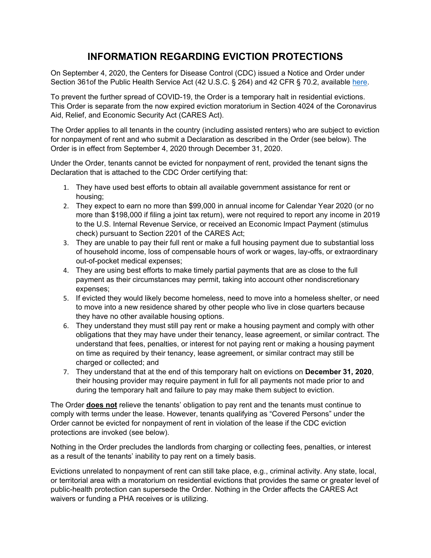## **INFORMATION REGARDING EVICTION PROTECTIONS**

On September 4, 2020, the Centers for Disease Control (CDC) issued a Notice and Order under Section 361of the Public Health Service Act (42 U.S.C. § 264) and 42 CFR § 70.2, available [here.](https://lnks.gd/l/eyJhbGciOiJIUzI1NiJ9.eyJidWxsZXRpbl9saW5rX2lkIjoxMDAsInVyaSI6ImJwMjpjbGljayIsImJ1bGxldGluX2lkIjoiMjAyMDA5MDkuMjY4Mzg0MDEiLCJ1cmwiOiJodHRwczovL3d3dy5nb3ZpbmZvLmdvdi9jb250ZW50L3BrZy9GUi0yMDIwLTA5LTA0L3BkZi8yMDIwLTE5NjU0LnBkZj91dG1fbWVkaXVtPWVtYWlsJnV0bV9zb3VyY2U9Z292ZGVsaXZlcnkifQ.Bkp265F4ht21scr4HSwdZy7hnu9CLF3mR8LcO8AKRu0/s/623990379/br/83426747828-l)

To prevent the further spread of COVID-19, the Order is a temporary halt in residential evictions. This Order is separate from the now expired eviction moratorium in Section 4024 of the Coronavirus Aid, Relief, and Economic Security Act (CARES Act).

The Order applies to all tenants in the country (including assisted renters) who are subject to eviction for nonpayment of rent and who submit a Declaration as described in the Order (see below). The Order is in effect from September 4, 2020 through December 31, 2020.

Under the Order, tenants cannot be evicted for nonpayment of rent, provided the tenant signs the Declaration that is attached to the CDC Order certifying that:

- 1. They have used best efforts to obtain all available government assistance for rent or housing;
- 2. They expect to earn no more than \$99,000 in annual income for Calendar Year 2020 (or no more than \$198,000 if filing a joint tax return), were not required to report any income in 2019 to the U.S. Internal Revenue Service, or received an Economic Impact Payment (stimulus check) pursuant to Section 2201 of the CARES Act;
- 3. They are unable to pay their full rent or make a full housing payment due to substantial loss of household income, loss of compensable hours of work or wages, lay-offs, or extraordinary out-of-pocket medical expenses;
- 4. They are using best efforts to make timely partial payments that are as close to the full payment as their circumstances may permit, taking into account other nondiscretionary expenses;
- 5. If evicted they would likely become homeless, need to move into a homeless shelter, or need to move into a new residence shared by other people who live in close quarters because they have no other available housing options.
- 6. They understand they must still pay rent or make a housing payment and comply with other obligations that they may have under their tenancy, lease agreement, or similar contract. The understand that fees, penalties, or interest for not paying rent or making a housing payment on time as required by their tenancy, lease agreement, or similar contract may still be charged or collected; and
- 7. They understand that at the end of this temporary halt on evictions on **December 31, 2020**, their housing provider may require payment in full for all payments not made prior to and during the temporary halt and failure to pay may make them subject to eviction.

The Order **does not** relieve the tenants' obligation to pay rent and the tenants must continue to comply with terms under the lease. However, tenants qualifying as "Covered Persons" under the Order cannot be evicted for nonpayment of rent in violation of the lease if the CDC eviction protections are invoked (see below).

Nothing in the Order precludes the landlords from charging or collecting fees, penalties, or interest as a result of the tenants' inability to pay rent on a timely basis.

Evictions unrelated to nonpayment of rent can still take place, e.g., criminal activity. Any state, local, or territorial area with a moratorium on residential evictions that provides the same or greater level of public-health protection can supersede the Order. Nothing in the Order affects the CARES Act waivers or funding a PHA receives or is utilizing.